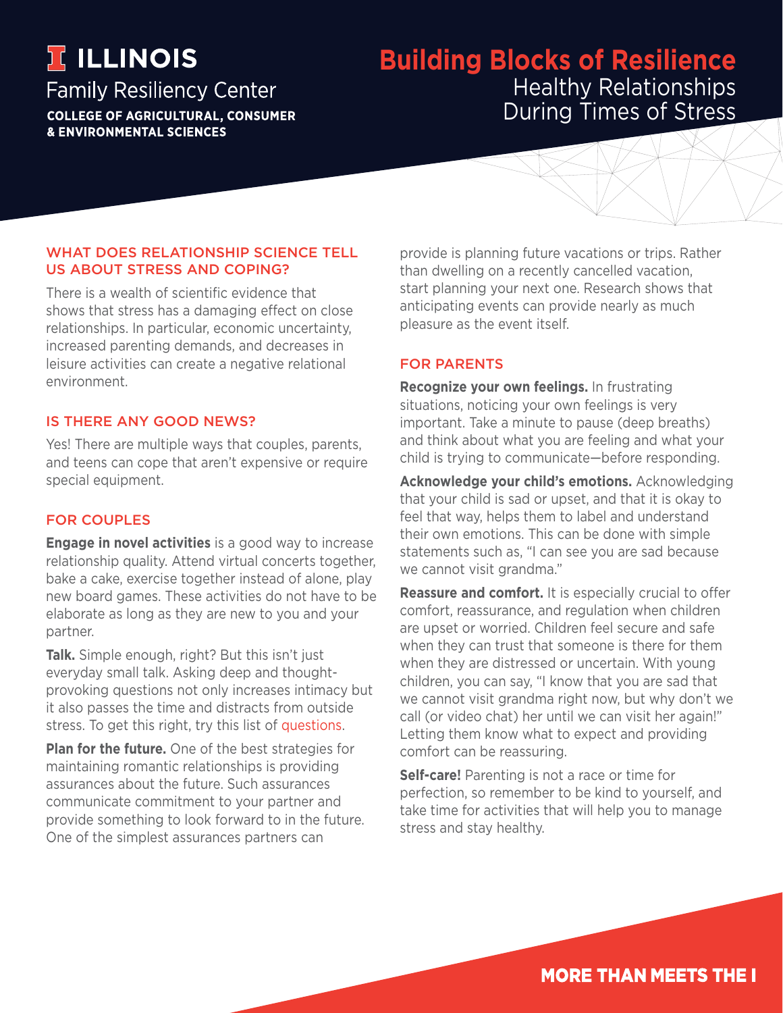# **TELLINOIS**

**Family Resiliency Center COLLEGE OF AGRICULTURAL, CONSUMER** 

**& ENVIRONMENTAL SCIENCES** 

# **Building Blocks of Resilience** Healthy Relationships During Times of Stress

### WHAT DOES RELATIONSHIP SCIENCE TELL US ABOUT STRESS AND COPING?

There is a wealth of scientific evidence that shows that stress has a damaging effect on close relationships. In particular, economic uncertainty, increased parenting demands, and decreases in leisure activities can create a negative relational environment.

# IS THERE ANY GOOD NEWS?

Yes! There are multiple ways that couples, parents, and teens can cope that aren't expensive or require special equipment.

# FOR COUPLES

**Engage in novel activities** is a good way to increase relationship quality. Attend virtual concerts together, bake a cake, exercise together instead of alone, play new board games. These activities do not have to be elaborate as long as they are new to you and your partner.

**Talk.** Simple enough, right? But this isn't just everyday small talk. Asking deep and thoughtprovoking questions not only increases intimacy but it also passes the time and distracts from outside stress. To get this right, try this list of [questions](https://www.nytimes.com/2015/01/11/style/36-questions-that-lead-to-love.html).

**Plan for the future.** One of the best strategies for maintaining romantic relationships is providing assurances about the future. Such assurances communicate commitment to your partner and provide something to look forward to in the future. One of the simplest assurances partners can

provide is planning future vacations or trips. Rather than dwelling on a recently cancelled vacation, start planning your next one. Research shows that anticipating events can provide nearly as much pleasure as the event itself.

## FOR PARENTS

**Recognize your own feelings.** In frustrating situations, noticing your own feelings is very important. Take a minute to pause (deep breaths) and think about what you are feeling and what your child is trying to communicate—before responding.

**Acknowledge your child's emotions.** Acknowledging that your child is sad or upset, and that it is okay to feel that way, helps them to label and understand their own emotions. This can be done with simple statements such as, "I can see you are sad because we cannot visit grandma."

**Reassure and comfort.** It is especially crucial to offer comfort, reassurance, and regulation when children are upset or worried. Children feel secure and safe when they can trust that someone is there for them when they are distressed or uncertain. With young children, you can say, "I know that you are sad that we cannot visit grandma right now, but why don't we call (or video chat) her until we can visit her again!" Letting them know what to expect and providing comfort can be reassuring.

**Self-care!** Parenting is not a race or time for perfection, so remember to be kind to yourself, and take time for activities that will help you to manage stress and stay healthy.

**MORE THAN MEETS THE I**